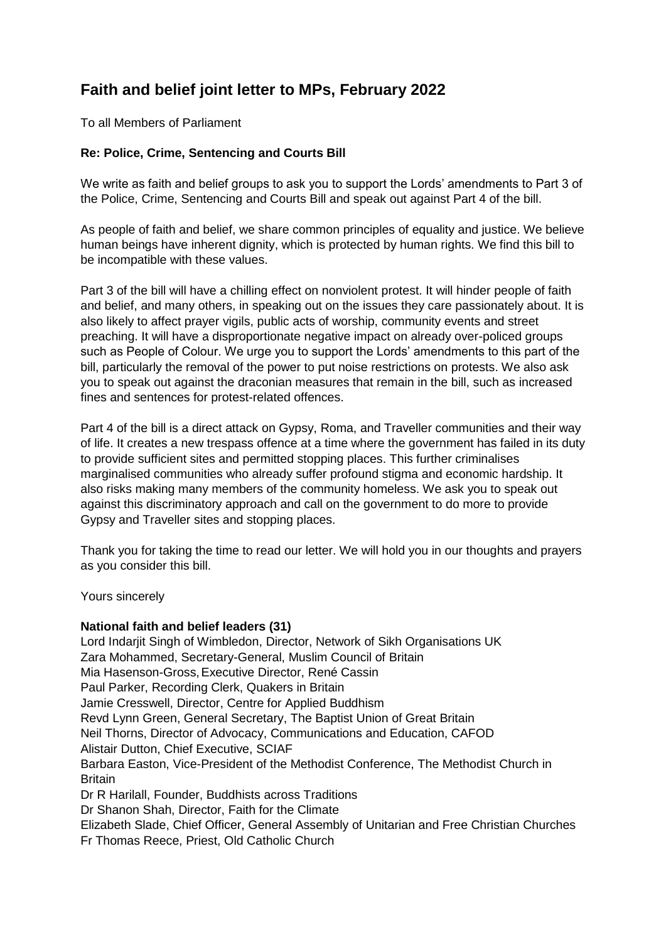## **Faith and belief joint letter to MPs, February 2022**

To all Members of Parliament

## **Re: Police, Crime, Sentencing and Courts Bill**

We write as faith and belief groups to ask you to support the Lords' amendments to Part 3 of the Police, Crime, Sentencing and Courts Bill and speak out against Part 4 of the bill.

As people of faith and belief, we share common principles of equality and justice. We believe human beings have inherent dignity, which is protected by human rights. We find this bill to be incompatible with these values.

Part 3 of the bill will have a chilling effect on nonviolent protest. It will hinder people of faith and belief, and many others, in speaking out on the issues they care passionately about. It is also likely to affect prayer vigils, public acts of worship, community events and street preaching. It will have a disproportionate negative impact on already over-policed groups such as People of Colour. We urge you to support the Lords' amendments to this part of the bill, particularly the removal of the power to put noise restrictions on protests. We also ask you to speak out against the draconian measures that remain in the bill, such as increased fines and sentences for protest-related offences.

Part 4 of the bill is a direct attack on Gypsy, Roma, and Traveller communities and their way of life. It creates a new trespass offence at a time where the government has failed in its duty to provide sufficient sites and permitted stopping places. This further criminalises marginalised communities who already suffer profound stigma and economic hardship. It also risks making many members of the community homeless. We ask you to speak out against this discriminatory approach and call on the government to do more to provide Gypsy and Traveller sites and stopping places.

Thank you for taking the time to read our letter. We will hold you in our thoughts and prayers as you consider this bill.

Yours sincerely

## **National faith and belief leaders (31)**

Lord Indarjit Singh of Wimbledon, Director, Network of Sikh Organisations UK Zara Mohammed, Secretary-General, Muslim Council of Britain Mia Hasenson-Gross,Executive Director, René Cassin Paul Parker, Recording Clerk, Quakers in Britain Jamie Cresswell, Director, Centre for Applied Buddhism Revd Lynn Green, General Secretary, The Baptist Union of Great Britain Neil Thorns, Director of Advocacy, Communications and Education, CAFOD Alistair Dutton, Chief Executive, SCIAF Barbara Easton, Vice-President of the Methodist Conference, The Methodist Church in **Britain** Dr R Harilall, Founder, Buddhists across Traditions Dr Shanon Shah, Director, Faith for the Climate Elizabeth Slade, Chief Officer, General Assembly of Unitarian and Free Christian Churches Fr Thomas Reece, Priest, Old Catholic Church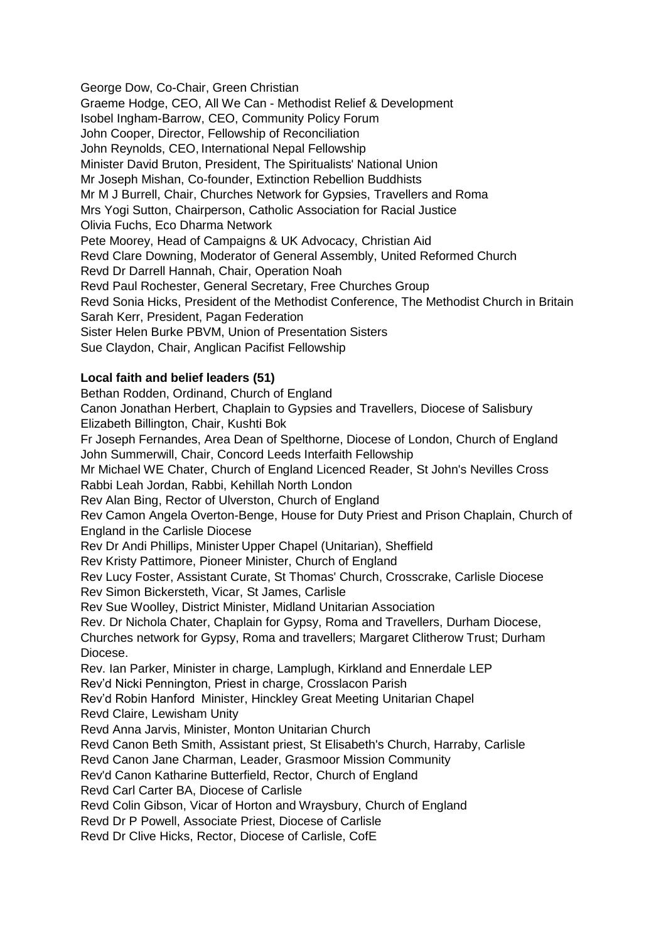George Dow, Co-Chair, Green Christian Graeme Hodge, CEO, All We Can - Methodist Relief & Development Isobel Ingham-Barrow, CEO, Community Policy Forum John Cooper, Director, Fellowship of Reconciliation John Reynolds, CEO, International Nepal Fellowship Minister David Bruton, President, The Spiritualists' National Union Mr Joseph Mishan, Co-founder, Extinction Rebellion Buddhists Mr M J Burrell, Chair, Churches Network for Gypsies, Travellers and Roma Mrs Yogi Sutton, Chairperson, Catholic Association for Racial Justice Olivia Fuchs, Eco Dharma Network Pete Moorey, Head of Campaigns & UK Advocacy, Christian Aid Revd Clare Downing, Moderator of General Assembly, United Reformed Church Revd Dr Darrell Hannah, Chair, Operation Noah Revd Paul Rochester, General Secretary, Free Churches Group Revd Sonia Hicks, President of the Methodist Conference, The Methodist Church in Britain Sarah Kerr, President, Pagan Federation Sister Helen Burke PBVM, Union of Presentation Sisters Sue Claydon, Chair, Anglican Pacifist Fellowship

## **Local faith and belief leaders (51)**

Bethan Rodden, Ordinand, Church of England Canon Jonathan Herbert, Chaplain to Gypsies and Travellers, Diocese of Salisbury Elizabeth Billington, Chair, Kushti Bok Fr Joseph Fernandes, Area Dean of Spelthorne, Diocese of London, Church of England John Summerwill, Chair, Concord Leeds Interfaith Fellowship Mr Michael WE Chater, Church of England Licenced Reader, St John's Nevilles Cross Rabbi Leah Jordan, Rabbi, Kehillah North London Rev Alan Bing, Rector of Ulverston, Church of England Rev Camon Angela Overton-Benge, House for Duty Priest and Prison Chaplain, Church of England in the Carlisle Diocese Rev Dr Andi Phillips, Minister Upper Chapel (Unitarian), Sheffield Rev Kristy Pattimore, Pioneer Minister, Church of England Rev Lucy Foster, Assistant Curate, St Thomas' Church, Crosscrake, Carlisle Diocese Rev Simon Bickersteth, Vicar, St James, Carlisle Rev Sue Woolley, District Minister, Midland Unitarian Association Rev. Dr Nichola Chater, Chaplain for Gypsy, Roma and Travellers, Durham Diocese, Churches network for Gypsy, Roma and travellers; Margaret Clitherow Trust; Durham Diocese. Rev. Ian Parker, Minister in charge, Lamplugh, Kirkland and Ennerdale LEP Rev'd Nicki Pennington, Priest in charge, Crosslacon Parish Rev'd Robin Hanford Minister, Hinckley Great Meeting Unitarian Chapel Revd Claire, Lewisham Unity Revd Anna Jarvis, Minister, Monton Unitarian Church Revd Canon Beth Smith, Assistant priest, St Elisabeth's Church, Harraby, Carlisle Revd Canon Jane Charman, Leader, Grasmoor Mission Community Rev'd Canon Katharine Butterfield, Rector, Church of England Revd Carl Carter BA, Diocese of Carlisle Revd Colin Gibson, Vicar of Horton and Wraysbury, Church of England Revd Dr P Powell, Associate Priest, Diocese of Carlisle Revd Dr Clive Hicks, Rector, Diocese of Carlisle, CofE